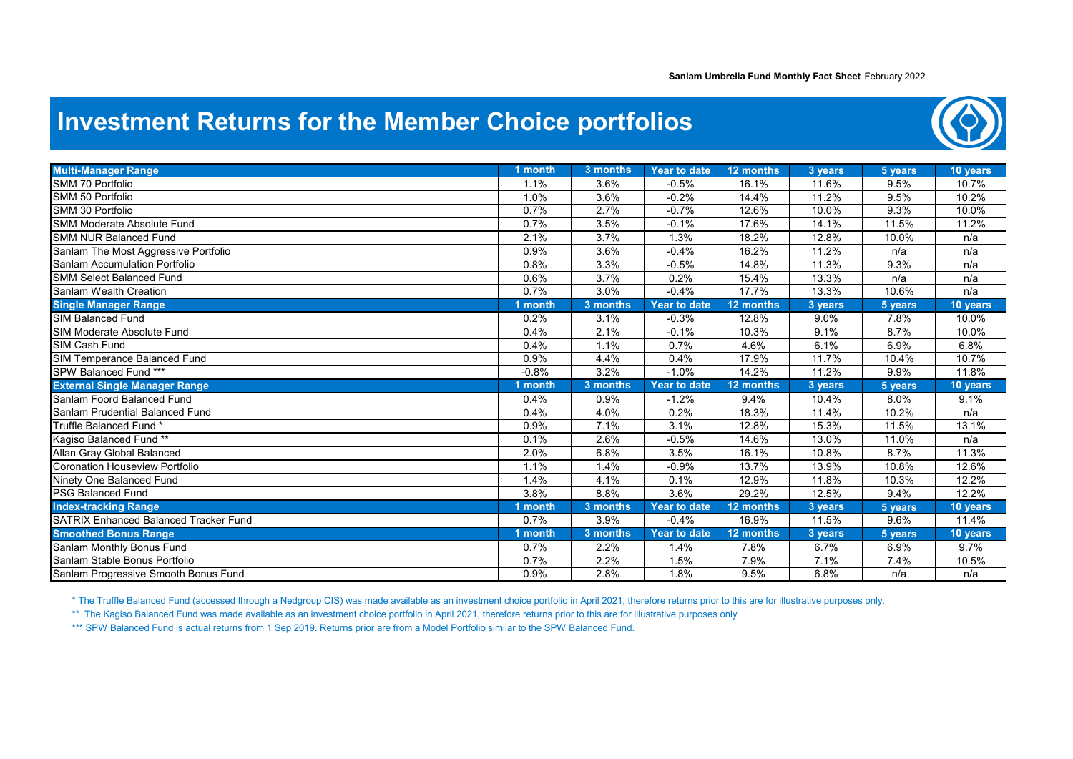## **Investment Returns for the Member Choice portfolios**



| <b>Multi-Manager Range</b>                   | 1 month | 3 months |                                |                    |                  |                 |                   |
|----------------------------------------------|---------|----------|--------------------------------|--------------------|------------------|-----------------|-------------------|
| SMM 70 Portfolio                             | 1.1%    | 3.6%     | <b>Year to date</b><br>$-0.5%$ | 12 months<br>16.1% | 3 years<br>11.6% | 5 years<br>9.5% | 10 years<br>10.7% |
| SMM 50 Portfolio                             | 1.0%    | 3.6%     | $-0.2%$                        | 14.4%              | 11.2%            |                 | 10.2%             |
|                                              |         |          |                                |                    |                  | 9.5%            |                   |
| SMM 30 Portfolio                             | 0.7%    | 2.7%     | $-0.7%$                        | 12.6%              | 10.0%            | 9.3%            | 10.0%             |
| <b>SMM Moderate Absolute Fund</b>            | 0.7%    | 3.5%     | $-0.1%$                        | 17.6%              | 14.1%            | 11.5%           | 11.2%             |
| <b>SMM NUR Balanced Fund</b>                 | 2.1%    | 3.7%     | 1.3%                           | 18.2%              | 12.8%            | 10.0%           | n/a               |
| Sanlam The Most Aggressive Portfolio         | 0.9%    | 3.6%     | $-0.4%$                        | 16.2%              | 11.2%            | n/a             | n/a               |
| Sanlam Accumulation Portfolio                | 0.8%    | 3.3%     | $-0.5%$                        | 14.8%              | 11.3%            | 9.3%            | n/a               |
| <b>SMM Select Balanced Fund</b>              | 0.6%    | 3.7%     | 0.2%                           | 15.4%              | 13.3%            | n/a             | n/a               |
| Sanlam Wealth Creation                       | 0.7%    | 3.0%     | $-0.4%$                        | 17.7%              | 13.3%            | 10.6%           | n/a               |
| <b>Single Manager Range</b>                  | month   | 3 months | <b>Year to date</b>            | 12 months          | 3 years          | 5 years         | 10 years          |
| <b>SIM Balanced Fund</b>                     | 0.2%    | 3.1%     | $-0.3%$                        | 12.8%              | 9.0%             | 7.8%            | 10.0%             |
| <b>SIM Moderate Absolute Fund</b>            | 0.4%    | 2.1%     | $-0.1%$                        | 10.3%              | 9.1%             | 8.7%            | 10.0%             |
| SIM Cash Fund                                | 0.4%    | 1.1%     | 0.7%                           | 4.6%               | 6.1%             | 6.9%            | 6.8%              |
| SIM Temperance Balanced Fund                 | 0.9%    | 4.4%     | 0.4%                           | 17.9%              | 11.7%            | 10.4%           | 10.7%             |
| SPW Balanced Fund ***                        | $-0.8%$ | 3.2%     | $-1.0%$                        | 14.2%              | 11.2%            | 9.9%            | 11.8%             |
| <b>External Single Manager Range</b>         | ∣ month | 3 months | <b>Year to date</b>            | 12 months          | 3 years          | 5 years         | 10 years          |
| Sanlam Foord Balanced Fund                   | 0.4%    | 0.9%     | $-1.2%$                        | 9.4%               | 10.4%            | 8.0%            | 9.1%              |
| Sanlam Prudential Balanced Fund              | 0.4%    | 4.0%     | 0.2%                           | 18.3%              | 11.4%            | 10.2%           | n/a               |
| Truffle Balanced Fund *                      | 0.9%    | 7.1%     | 3.1%                           | 12.8%              | 15.3%            | 11.5%           | 13.1%             |
| Kagiso Balanced Fund **                      | 0.1%    | 2.6%     | $-0.5%$                        | 14.6%              | 13.0%            | 11.0%           | n/a               |
| Allan Gray Global Balanced                   | 2.0%    | 6.8%     | 3.5%                           | 16.1%              | 10.8%            | 8.7%            | 11.3%             |
| Coronation Houseview Portfolio               | 1.1%    | 1.4%     | $-0.9%$                        | 13.7%              | 13.9%            | 10.8%           | 12.6%             |
| Ninety One Balanced Fund                     | 1.4%    | 4.1%     | 0.1%                           | 12.9%              | 11.8%            | 10.3%           | 12.2%             |
| <b>PSG Balanced Fund</b>                     | 3.8%    | 8.8%     | 3.6%                           | 29.2%              | 12.5%            | 9.4%            | 12.2%             |
| <b>Index-tracking Range</b>                  | 1 month | 3 months | <b>Year to date</b>            | 12 months          | 3 years          | 5 years         | 10 years          |
| <b>SATRIX Enhanced Balanced Tracker Fund</b> | 0.7%    | 3.9%     | $-0.4%$                        | 16.9%              | 11.5%            | 9.6%            | 11.4%             |
| <b>Smoothed Bonus Range</b>                  | 1 month | 3 months | <b>Year to date</b>            | 12 months          | 3 years          | 5 years         | 10 years          |
| Sanlam Monthly Bonus Fund                    | 0.7%    | 2.2%     | 1.4%                           | 7.8%               | 6.7%             | 6.9%            | 9.7%              |
| Sanlam Stable Bonus Portfolio                | 0.7%    | 2.2%     | 1.5%                           | 7.9%               | 7.1%             | 7.4%            | 10.5%             |
| Sanlam Progressive Smooth Bonus Fund         | 0.9%    | 2.8%     | 1.8%                           | 9.5%               | 6.8%             | n/a             | n/a               |

\* The Truffle Balanced Fund (accessed through a Nedgroup CIS) was made available as an investment choice portfolio in April 2021, therefore returns prior to this are for illustrative purposes only.

\*\* The Kagiso Balanced Fund was made available as an investment choice portfolio in April 2021, therefore returns prior to this are for illustrative purposes only

\*\*\* SPW Balanced Fund is actual returns from 1 Sep 2019. Returns prior are from a Model Portfolio similar to the SPW Balanced Fund.